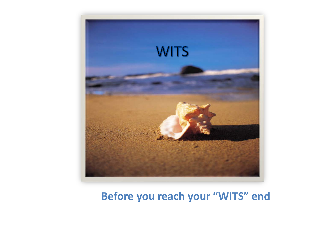

#### **Before you reach your "WITS" end**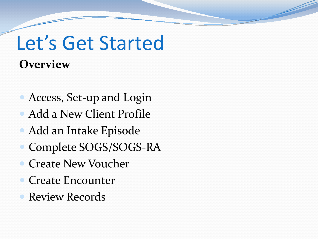### Let's Get Started **Overview**

- Access, Set-up and Login
- Add a New Client Profile
- Add an Intake Episode
- Complete SOGS/SOGS-RA
- Create New Voucher
- Create Encounter
- Review Records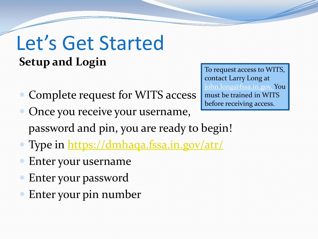### Let's Get Started **Setup and Login**

- Complete request for WITS access
	- Once you receive your username, password and pin, you are ready to begin!
- Type in <https://dmhaqa.fssa.in.gov/atr/>
- Enter your username
- Enter your password
- Enter your pin number

To request access to WITS, contact Larry Long at john.long@fssa.in.gov. You must be trained in WITS before receiving access.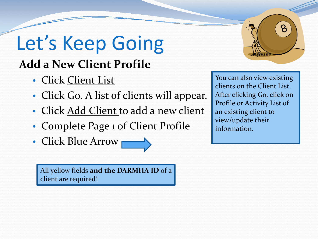### Let's Keep Going **Add a New Client Profile**

- Click Client List
- Click Go. A list of clients will appear.
- Click Add Client to add a new client
- Complete Page 1 of Client Profile
- Click Blue Arrow

All yellow fields **and the DARMHA ID** of a client are required!

 $\mathcal{B}$ 

You can also view existing clients on the Client List. After clicking Go, click on Profile or Activity List of an existing client to view/update their information.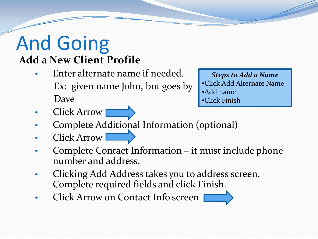### And Going **Add a New Client Profile**

- Enter alternate name if needed. Ex: given name John, but goes by Dave
- *Steps to Add a Name*  •Click Add Alternate Name •Add name •Click Finish

- **Click Arrow**
- Complete Additional Information (optional)
- Click Arrow
- Complete Contact Information it must include phone number and address.
- Clicking Add Address takes you to address screen. Complete required fields and click Finish.
- Click Arrow on Contact Info screen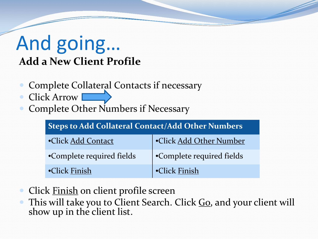### And going… **Add a New Client Profile**

- Complete Collateral Contacts if necessary
- Click Arrow
- Complete Other Numbers if Necessary

| Steps to Add Collateral Contact/Add Other Numbers |                           |
|---------------------------------------------------|---------------------------|
| •Click Add Contact                                | •Click Add Other Number   |
| •Complete required fields                         | •Complete required fields |
| •Click Finish                                     | •Click Finish             |

- Click Finish on client profile screen
- This will take you to Client Search. Click Go, and your client will show up in the client list.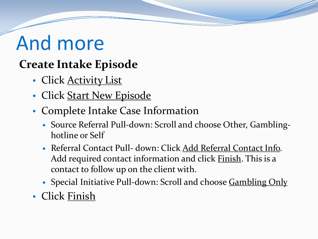## And more

### **Create Intake Episode**

- Click Activity List
- Click Start New Episode
- Complete Intake Case Information
	- Source Referral Pull-down: Scroll and choose Other, Gamblinghotline or Self
	- Referral Contact Pull- down: Click Add Referral Contact Info. Add required contact information and click Finish. This is a contact to follow up on the client with.
	- Special Initiative Pull-down: Scroll and choose Gambling Only
- Click Finish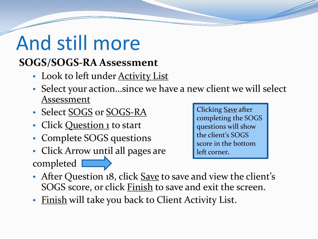# And still more

#### **SOGS/SOGS-RA Assessment**

- Look to left under **Activity List**
- Select your action…since we have a new client we will select Assessment
- Select SOGS or SOGS-RA
- Click Question 1 to start
- Complete SOGS questions
- Click Arrow until all pages are completed  $\square$

Clicking Save after completing the SOGS questions will show the client's SOGS score in the bottom left corner*.* 

- After Question 18, click Save to save and view the client's SOGS score, or click **Finish** to save and exit the screen.
- Finish will take you back to Client Activity List.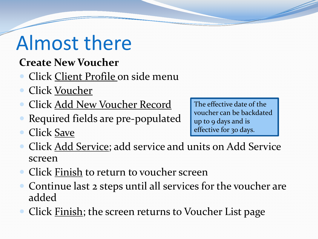## Almost there

- **Create New Voucher**
- Click Client Profile on side menu
- Click Voucher
- Click Add New Voucher Record
- Required fields are pre-populated
- Click Save

The effective date of the voucher can be backdated up to 9 days and is effective for 30 days.

- Click Add Service; add service and units on Add Service screen
- Click Finish to return to voucher screen
- Continue last 2 steps until all services for the voucher are added
- Click Finish; the screen returns to Voucher List page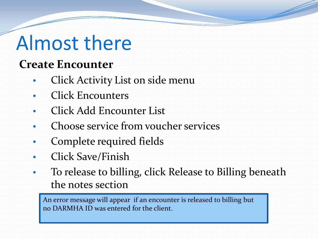## Almost there

### **Create Encounter**

- Click Activity List on side menu
- Click Encounters
- Click Add Encounter List
- Choose service from voucher services
- Complete required fields
- Click Save/Finish
- To release to billing, click Release to Billing beneath the notes section

An error message will appear if an encounter is released to billing but no DARMHA ID was entered for the client.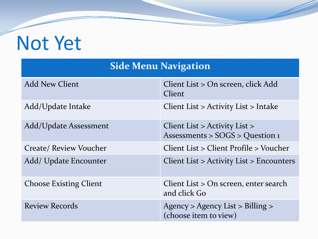## Not Yet

#### **Side Menu Navigation**

| <b>Add New Client</b>         | Client List > On screen, click Add<br>Client                     |
|-------------------------------|------------------------------------------------------------------|
| Add/Update Intake             | Client List $>$ Activity List $>$ Intake                         |
| Add/Update Assessment         | Client List > Activity List ><br>Assessments > SOGS > Question 1 |
| Create/ Review Voucher        | Client List > Client Profile > Voucher                           |
| Add/ Update Encounter         | Client List > Activity List > Encounters                         |
| <b>Choose Existing Client</b> | Client List > On screen, enter search<br>and click Go            |
| <b>Review Records</b>         | Agency > Agency List > Billing ><br>(choose item to view)        |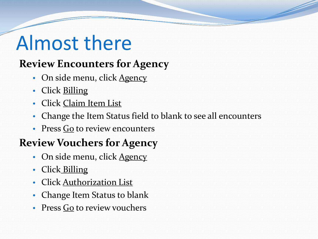## Almost there

#### **Review Encounters for Agency**

- On side menu, click Agency
- Click Billing
- Click Claim Item List
- Change the Item Status field to blank to see all encounters
- Press Go to review encounters

#### **Review Vouchers for Agency**

- On side menu, click Agency
- Click Billing
- Click Authorization List
- Change Item Status to blank
- Press Go to review vouchers